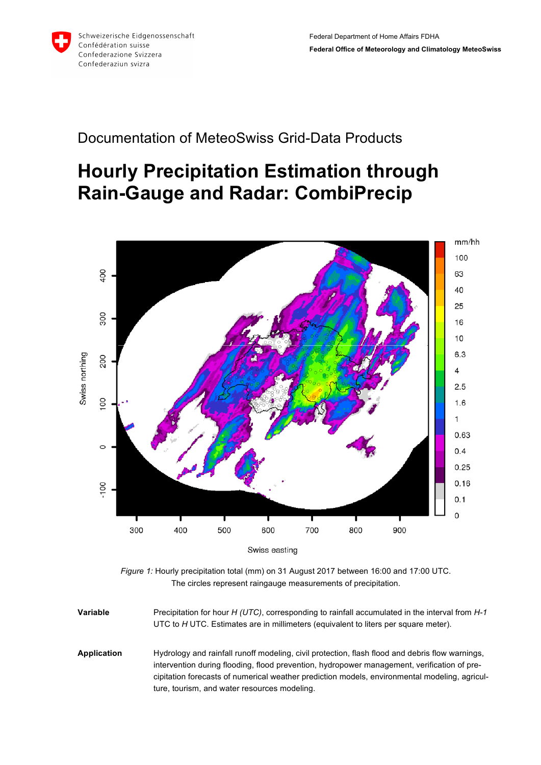

## Documentation of MeteoSwiss Grid-Data Products

## **Hourly Precipitation Estimation through Rain-Gauge and Radar: CombiPrecip**



*Figure 1:* Hourly precipitation total (mm) on 31 August 2017 between 16:00 and 17:00 UTC. The circles represent raingauge measurements of precipitation.

**Variable** Precipitation for hour *H (UTC)*, corresponding to rainfall accumulated in the interval from *H-1* UTC to *H* UTC. Estimates are in millimeters (equivalent to liters per square meter). **Application** Hydrology and rainfall runoff modeling, civil protection, flash flood and debris flow warnings, intervention during flooding, flood prevention, hydropower management, verification of precipitation forecasts of numerical weather prediction models, environmental modeling, agriculture, tourism, and water resources modeling.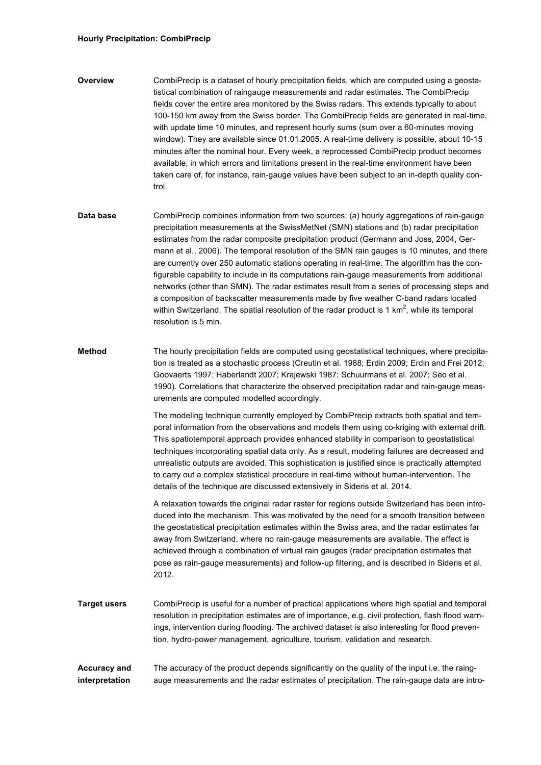## **Hourly Precipitation: CombiPrecip**

- **Overview** CombiPrecip is a dataset of hourly precipitation fields, which are computed using a geostatistical combination of raingauge measurements and radar estimates. The CombiPrecip fields cover the entire area monitored by the Swiss radars. This extends typically to about 100-150 km away from the Swiss border. The CombiPrecip fields are generated in real-time, with update time 10 minutes, and represent hourly sums (sum over a 60-minutes moving window). They are available since 01.01.2005. A real-time delivery is possible, about 10-15 minutes after the nominal hour. Every week, a reprocessed CombiPrecip product becomes available, in which errors and limitations present in the real-time environment have been taken care of, for instance, rain-gauge values have been subject to an in-depth quality control.
- **Data base** CombiPrecip combines information from two sources: (a) hourly aggregations of rain-gauge precipitation measurements at the SwissMetNet (SMN) stations and (b) radar precipitation estimates from the radar composite precipitation product (Germann and Joss, 2004, Germann et al., 2006). The temporal resolution of the SMN rain gauges is 10 minutes, and there are currently over 250 automatic stations operating in real-time. The algorithm has the configurable capability to include in its computations rain-gauge measurements from additional networks (other than SMN). The radar estimates result from a series of processing steps and a composition of backscatter measurements made by five weather C-band radars located within Switzerland. The spatial resolution of the radar product is 1 km<sup>2</sup>, while its temporal resolution is 5 min.
- **Method** The hourly precipitation fields are computed using geostatistical techniques, where precipitation is treated as a stochastic process (Creutin et al. 1988; Erdin 2009; Erdin and Frei 2012; Goovaerts 1997; Haberlandt 2007; Krajewski 1987; Schuurmans et al. 2007; Seo et al. 1990). Correlations that characterize the observed precipitation radar and rain-gauge measurements are computed modelled accordingly.

The modeling technique currently employed by CombiPrecip extracts both spatial and temporal information from the observations and models them using co-kriging with external drift. This spatiotemporal approach provides enhanced stability in comparison to geostatistical techniques incorporating spatial data only. As a result, modeling failures are decreased and unrealistic outputs are avoided. This sophistication is justified since is practically attempted to carry out a complex statistical procedure in real-time without human-intervention. The details of the technique are discussed extensively in Sideris et al. 2014.

A relaxation towards the original radar raster for regions outside Switzerland has been introduced into the mechanism. This was motivated by the need for a smooth transition between the geostatistical precipitation estimates within the Swiss area, and the radar estimates far away from Switzerland, where no rain-gauge measurements are available. The effect is achieved through a combination of virtual rain gauges (radar precipitation estimates that pose as rain-gauge measurements) and follow-up filtering, and is described in Sideris et al. 2012.

**Target users** CombiPrecip is useful for a number of practical applications where high spatial and temporal resolution in precipitation estimates are of importance, e.g. civil protection, flash flood warnings, intervention during flooding. The archived dataset is also interesting for flood prevention, hydro-power management, agriculture, tourism, validation and research.

**Accuracy and interpretation** The accuracy of the product depends significantly on the quality of the input i.e. the raingauge measurements and the radar estimates of precipitation. The rain-gauge data are intro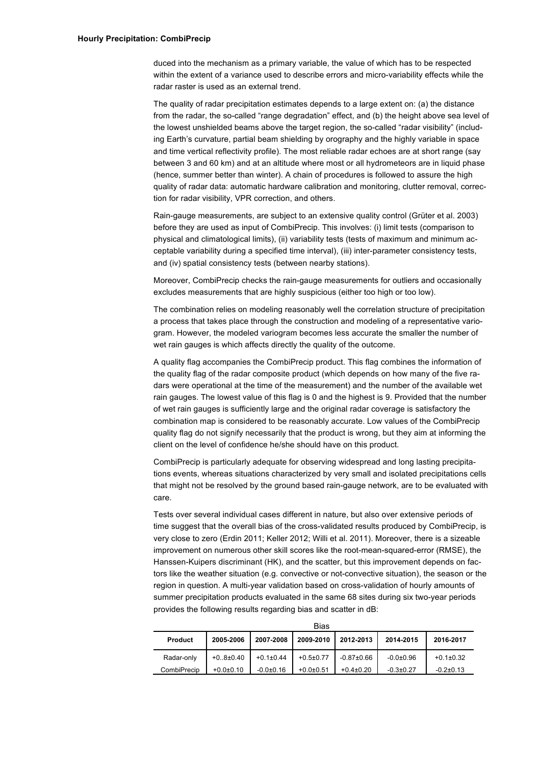duced into the mechanism as a primary variable, the value of which has to be respected within the extent of a variance used to describe errors and micro-variability effects while the radar raster is used as an external trend.

The quality of radar precipitation estimates depends to a large extent on: (a) the distance from the radar, the so-called "range degradation" effect, and (b) the height above sea level of the lowest unshielded beams above the target region, the so-called "radar visibility" (including Earth's curvature, partial beam shielding by orography and the highly variable in space and time vertical reflectivity profile). The most reliable radar echoes are at short range (say between 3 and 60 km) and at an altitude where most or all hydrometeors are in liquid phase (hence, summer better than winter). A chain of procedures is followed to assure the high quality of radar data: automatic hardware calibration and monitoring, clutter removal, correction for radar visibility, VPR correction, and others.

Rain-gauge measurements, are subject to an extensive quality control (Grüter et al. 2003) before they are used as input of CombiPrecip. This involves: (i) limit tests (comparison to physical and climatological limits), (ii) variability tests (tests of maximum and minimum acceptable variability during a specified time interval), (iii) inter-parameter consistency tests, and (iv) spatial consistency tests (between nearby stations).

Moreover, CombiPrecip checks the rain-gauge measurements for outliers and occasionally excludes measurements that are highly suspicious (either too high or too low).

The combination relies on modeling reasonably well the correlation structure of precipitation a process that takes place through the construction and modeling of a representative variogram. However, the modeled variogram becomes less accurate the smaller the number of wet rain gauges is which affects directly the quality of the outcome.

A quality flag accompanies the CombiPrecip product. This flag combines the information of the quality flag of the radar composite product (which depends on how many of the five radars were operational at the time of the measurement) and the number of the available wet rain gauges. The lowest value of this flag is 0 and the highest is 9. Provided that the number of wet rain gauges is sufficiently large and the original radar coverage is satisfactory the combination map is considered to be reasonably accurate. Low values of the CombiPrecip quality flag do not signify necessarily that the product is wrong, but they aim at informing the client on the level of confidence he/she should have on this product.

CombiPrecip is particularly adequate for observing widespread and long lasting precipitations events, whereas situations characterized by very small and isolated precipitations cells that might not be resolved by the ground based rain-gauge network, are to be evaluated with care.

Tests over several individual cases different in nature, but also over extensive periods of time suggest that the overall bias of the cross-validated results produced by CombiPrecip, is very close to zero (Erdin 2011; Keller 2012; Willi et al. 2011). Moreover, there is a sizeable improvement on numerous other skill scores like the root-mean-squared-error (RMSE), the Hanssen-Kuipers discriminant (HK), and the scatter, but this improvement depends on factors like the weather situation (e.g. convective or not-convective situation), the season or the region in question. A multi-year validation based on cross-validation of hourly amounts of summer precipitation products evaluated in the same 68 sites during six two-year periods provides the following results regarding bias and scatter in dB:

| Bias           |               |               |               |                  |                 |               |  |  |
|----------------|---------------|---------------|---------------|------------------|-----------------|---------------|--|--|
| <b>Product</b> | 2005-2006     | 2007-2008     | 2009-2010     | 2012-2013        | 2014-2015       | 2016-2017     |  |  |
| Radar-only     | $+0.8 + 0.40$ | $+0.1\pm0.44$ | $+0.5 + 0.77$ | $-0.87 \pm 0.66$ | $-0.0 \pm 0.96$ | $+0.1\pm0.32$ |  |  |
| CombiPrecip    | $+0.0+0.10$   | $-0.0+0.16$   | $+0.0+0.51$   | $+0.4\pm0.20$    | $-0.3 \pm 0.27$ | $-0.2\pm0.13$ |  |  |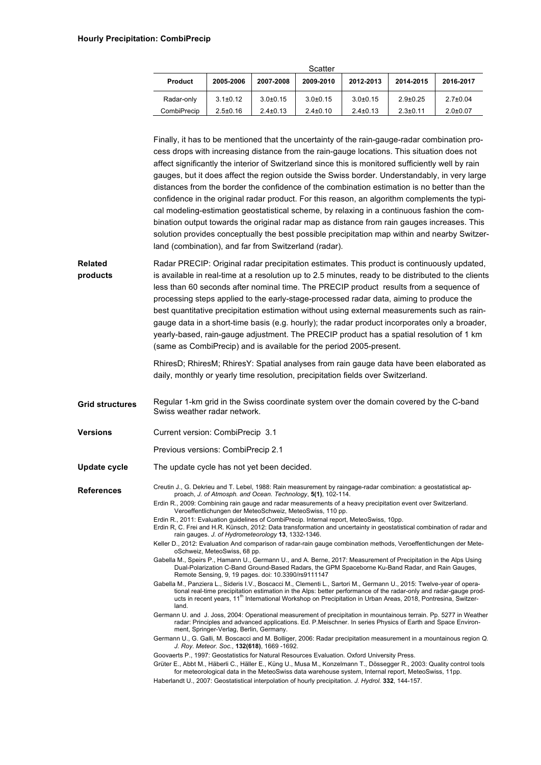| Scatter        |                |                |                |                |                |                |  |  |  |  |
|----------------|----------------|----------------|----------------|----------------|----------------|----------------|--|--|--|--|
| <b>Product</b> | 2005-2006      | 2007-2008      | 2009-2010      | 2012-2013      | 2014-2015      | 2016-2017      |  |  |  |  |
| Radar-only     | $3.1 \pm 0.12$ | $3.0 + 0.15$   | $3.0 + 0.15$   | $3.0 + 0.15$   | $2.9 \pm 0.25$ | $2.7 \pm 0.04$ |  |  |  |  |
| CombiPrecip    | $2.5 \pm 0.16$ | $2.4 \pm 0.13$ | $2.4 \pm 0.10$ | $2.4 \pm 0.13$ | $2.3 \pm 0.11$ | $2.0 \pm 0.07$ |  |  |  |  |

Finally, it has to be mentioned that the uncertainty of the rain-gauge-radar combination process drops with increasing distance from the rain-gauge locations. This situation does not affect significantly the interior of Switzerland since this is monitored sufficiently well by rain gauges, but it does affect the region outside the Swiss border. Understandably, in very large distances from the border the confidence of the combination estimation is no better than the confidence in the original radar product. For this reason, an algorithm complements the typical modeling-estimation geostatistical scheme, by relaxing in a continuous fashion the combination output towards the original radar map as distance from rain gauges increases. This solution provides conceptually the best possible precipitation map within and nearby Switzerland (combination), and far from Switzerland (radar).

**Related products** Radar PRECIP: Original radar precipitation estimates. This product is continuously updated, is available in real-time at a resolution up to 2.5 minutes, ready to be distributed to the clients less than 60 seconds after nominal time. The PRECIP product results from a sequence of processing steps applied to the early-stage-processed radar data, aiming to produce the best quantitative precipitation estimation without using external measurements such as raingauge data in a short-time basis (e.g. hourly); the radar product incorporates only a broader, yearly-based, rain-gauge adjustment. The PRECIP product has a spatial resolution of 1 km (same as CombiPrecip) and is available for the period 2005-present.

> RhiresD; RhiresM; RhiresY: Spatial analyses from rain gauge data have been elaborated as daily, monthly or yearly time resolution, precipitation fields over Switzerland.

- **Grid structures** Regular 1-km grid in the Swiss coordinate system over the domain covered by the C-band Swiss weather radar network.
- **Versions** Current version: CombiPrecip 3.1
	- Previous versions: CombiPrecip 2.1
- **Update cycle** The update cycle has not yet been decided.

References Creutin J., G. Dekrieu and T. Lebel, 1988: Rain measurement by raingage-radar combination: a geostatistical approach, *J. of Atmosph. and Ocean. Technology*, **5(1)**, 102-114.

> Erdin R., 2009: Combining rain gauge and radar measurements of a heavy precipitation event over Switzerland. Veroeffentlichungen der MeteoSchweiz, MeteoSwiss, 110 pp.

Erdin R., 2011: Evaluation guidelines of CombiPrecip. Internal report, MeteoSwiss, 10pp.

Erdin R, C. Frei and H.R. Künsch, 2012: Data transformation and uncertainty in geostatistical combination of radar and rain gauges. *J. of Hydrometeorology* **13**, 1332-1346.

Keller D., 2012: Evaluation And comparison of radar-rain gauge combination methods, Veroeffentlichungen der MeteoSchweiz, MeteoSwiss, 68 pp.

- Gabella M., Speirs P., Hamann U., Germann U., and A. Berne, 2017: Measurement of Precipitation in the Alps Using Dual-Polarization C-Band Ground-Based Radars, the GPM Spaceborne Ku-Band Radar, and Rain Gauges, Remote Sensing, 9, 19 pages. doi: 10.3390/rs9111147
- Gabella M., Panziera L., Sideris I.V., Boscacci M., Clementi L., Sartori M., Germann U., 2015: Twelve-year of operational real-time precipitation estimation in the Alps: better performance of the radar-only and radar-gauge products in recent years, 11<sup>th</sup> International Workshop on Precipitation in Urban Areas, 2018, Pontresina, Switzerland.

Germann U. and J. Joss, 2004: Operational measurement of precipitation in mountainous terrain. Pp. 5277 in Weather radar: Principles and advanced applications. Ed. P.Meischner. In series Physics of Earth and Space Environment, Springer-Verlag, Berlin, Germany.

Germann U., G. Galli, M. Boscacci and M. Bolliger, 2006: Radar precipitation measurement in a mountainous region *Q. J. Roy. Meteor. Soc.*, **132(618)**, 1669 -1692.

Goovaerts P., 1997: Geostatistics for Natural Resources Evaluation. Oxford University Press.

Grüter E., Abbt M., Häberli C., Häller E., Küng U., Musa M., Konzelmann T., Dössegger R., 2003: Quality control tools for meteorological data in the MeteoSwiss data warehouse system. Internal report. MeteoSwiss, 11pp.

Haberlandt U., 2007: Geostatistical interpolation of hourly precipitation. *J. Hydrol.* **332**, 144-157.